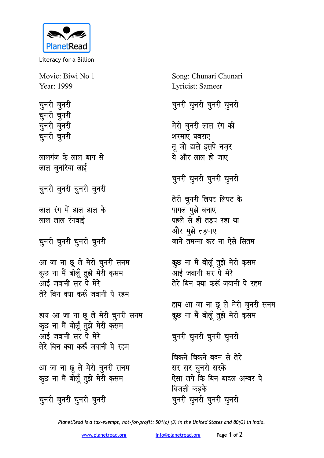

Literacy for a Billion

Movie: Biwi No 1 Year: 1999

चुनरी चुनरी <u>च</u>ूनरी चूनरी चुनरी चुनरी चुनरी चुनरी

लालगंज के लाल बाग से लाल चुनरिया लाई

चुनरी चुनरी चुनरी

**लाल रंग में डाल डाल के लाल लाल रंगवाई** 

<u>च</u>ूनरी चूनरी चूनरी

आ जा ना छू ले मेरी चुनरी सनम कूछ ना मैं बोलूँ तुझे मेरी क़सम आई जवानी सर पे मेरे तेरे बिन क्या करूँ जवानी पे रहम

हाय आ जा ना छू ले मेरी चुनरी सनम कुछ ना मैं बोलूँ तुझे मेरी करनम आई जवानी सर पे मेरे **तेरे बिन क्या करूँ जवानी पे रहम** 

आ जा ना छू ले मेरी चुनरी सनम कुछ ना मैं बोलूँ तुझे मेरी क़सम

चुनरी चुनरी चुनरी

Song: Chunari Chunari Lyricist: Sameer

चुनरी चुनरी चुनरी

मेरी चुनरी लाल रंग की शरमाए **घबराए** तू जो डाले इसपे नज़र ये और लाल हो जाए

चुनरी चुनरी चुनरी

<u>तेरी च</u>ूनरी लिपट लिपट के पागल मुझे बनाए पहले से ही तड़प रहा था और मुझे तड़पाए जाने तमन्ना कर ना ऐसे सित**म** 

कूछ ना मैं बोलूँ तुझे मेरी क़सम आई जवानी सर पे मेरे **तेरे बिन क्या करूँ जवानी पे रहम** 

हाय आ जा ना छू ले मेरी चुनरी सनम कुछ ना मैं बोलूँ तुझे मेरी क़सम

चुनरी चुनरी चुनरी

चिकने **चिकने** बदन से तेरे सर सर चुनरी सरक<mark>े</mark> ऐसा लगे कि बिन बादल अम्बर पे बिजली कडके चुनरी चुनरी चुनरी

*PlanetRead is a tax-exempt, not-for-profit: 501(c) (3) in the United States and 80(G) in India.*